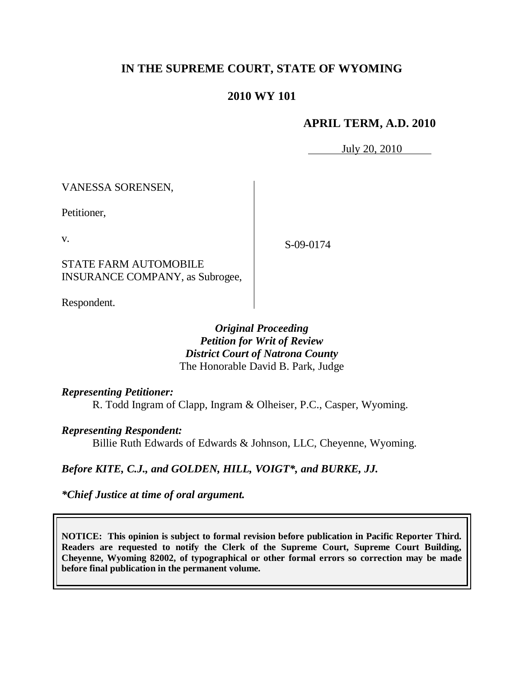# **IN THE SUPREME COURT, STATE OF WYOMING**

## **2010 WY 101**

## **APRIL TERM, A.D. 2010**

July 20, 2010

VANESSA SORENSEN,

Petitioner,

v.

S-09-0174

STATE FARM AUTOMOBILE INSURANCE COMPANY, as Subrogee,

Respondent.

*Original Proceeding Petition for Writ of Review District Court of Natrona County* The Honorable David B. Park, Judge

*Representing Petitioner:*

R. Todd Ingram of Clapp, Ingram & Olheiser, P.C., Casper, Wyoming.

*Representing Respondent:*

Billie Ruth Edwards of Edwards & Johnson, LLC, Cheyenne, Wyoming.

*Before KITE, C.J., and GOLDEN, HILL, VOIGT\*, and BURKE, JJ.*

*\*Chief Justice at time of oral argument.*

**NOTICE: This opinion is subject to formal revision before publication in Pacific Reporter Third. Readers are requested to notify the Clerk of the Supreme Court, Supreme Court Building, Cheyenne, Wyoming 82002, of typographical or other formal errors so correction may be made before final publication in the permanent volume.**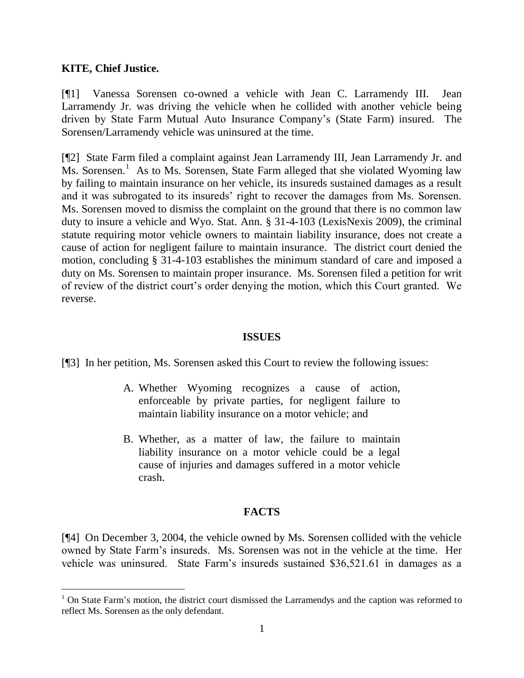#### **KITE, Chief Justice.**

 $\overline{a}$ 

[¶1] Vanessa Sorensen co-owned a vehicle with Jean C. Larramendy III. Jean Larramendy Jr. was driving the vehicle when he collided with another vehicle being driven by State Farm Mutual Auto Insurance Company's (State Farm) insured. The Sorensen/Larramendy vehicle was uninsured at the time.

[¶2] State Farm filed a complaint against Jean Larramendy III, Jean Larramendy Jr. and Ms. Sorensen.<sup>1</sup> As to Ms. Sorensen, State Farm alleged that she violated Wyoming law by failing to maintain insurance on her vehicle, its insureds sustained damages as a result and it was subrogated to its insureds' right to recover the damages from Ms. Sorensen. Ms. Sorensen moved to dismiss the complaint on the ground that there is no common law duty to insure a vehicle and Wyo. Stat. Ann. § 31-4-103 (LexisNexis 2009), the criminal statute requiring motor vehicle owners to maintain liability insurance, does not create a cause of action for negligent failure to maintain insurance. The district court denied the motion, concluding § 31-4-103 establishes the minimum standard of care and imposed a duty on Ms. Sorensen to maintain proper insurance. Ms. Sorensen filed a petition for writ of review of the district court's order denying the motion, which this Court granted. We reverse.

#### **ISSUES**

[¶3] In her petition, Ms. Sorensen asked this Court to review the following issues:

- A. Whether Wyoming recognizes a cause of action, enforceable by private parties, for negligent failure to maintain liability insurance on a motor vehicle; and
- B. Whether, as a matter of law, the failure to maintain liability insurance on a motor vehicle could be a legal cause of injuries and damages suffered in a motor vehicle crash.

## **FACTS**

[¶4] On December 3, 2004, the vehicle owned by Ms. Sorensen collided with the vehicle owned by State Farm's insureds. Ms. Sorensen was not in the vehicle at the time. Her vehicle was uninsured. State Farm's insureds sustained \$36,521.61 in damages as a

 $1$  On State Farm's motion, the district court dismissed the Larramendys and the caption was reformed to reflect Ms. Sorensen as the only defendant.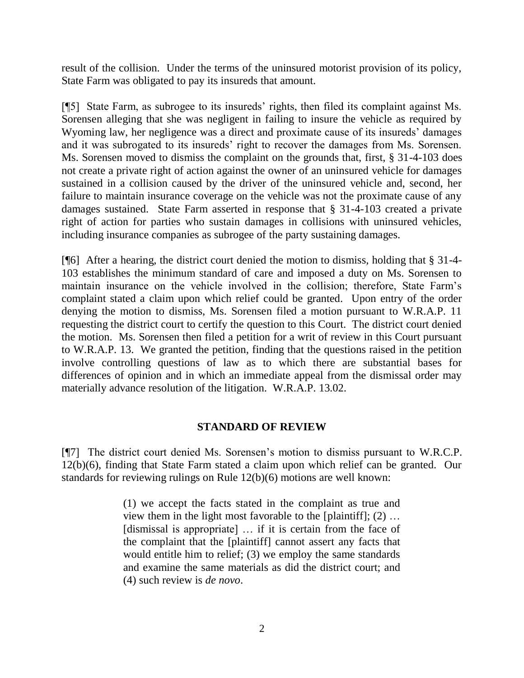result of the collision. Under the terms of the uninsured motorist provision of its policy, State Farm was obligated to pay its insureds that amount.

[¶5] State Farm, as subrogee to its insureds' rights, then filed its complaint against Ms. Sorensen alleging that she was negligent in failing to insure the vehicle as required by Wyoming law, her negligence was a direct and proximate cause of its insureds' damages and it was subrogated to its insureds' right to recover the damages from Ms. Sorensen. Ms. Sorensen moved to dismiss the complaint on the grounds that, first, § 31-4-103 does not create a private right of action against the owner of an uninsured vehicle for damages sustained in a collision caused by the driver of the uninsured vehicle and, second, her failure to maintain insurance coverage on the vehicle was not the proximate cause of any damages sustained. State Farm asserted in response that § 31-4-103 created a private right of action for parties who sustain damages in collisions with uninsured vehicles, including insurance companies as subrogee of the party sustaining damages.

[¶6] After a hearing, the district court denied the motion to dismiss, holding that § 31-4- 103 establishes the minimum standard of care and imposed a duty on Ms. Sorensen to maintain insurance on the vehicle involved in the collision; therefore, State Farm's complaint stated a claim upon which relief could be granted. Upon entry of the order denying the motion to dismiss, Ms. Sorensen filed a motion pursuant to W.R.A.P. 11 requesting the district court to certify the question to this Court. The district court denied the motion. Ms. Sorensen then filed a petition for a writ of review in this Court pursuant to W.R.A.P. 13. We granted the petition, finding that the questions raised in the petition involve controlling questions of law as to which there are substantial bases for differences of opinion and in which an immediate appeal from the dismissal order may materially advance resolution of the litigation. W.R.A.P. 13.02.

#### **STANDARD OF REVIEW**

[¶7] The district court denied Ms. Sorensen's motion to dismiss pursuant to W.R.C.P. 12(b)(6), finding that State Farm stated a claim upon which relief can be granted. Our standards for reviewing rulings on Rule 12(b)(6) motions are well known:

> (1) we accept the facts stated in the complaint as true and view them in the light most favorable to the [plaintiff];  $(2)$  ... [dismissal is appropriate] ... if it is certain from the face of the complaint that the [plaintiff] cannot assert any facts that would entitle him to relief; (3) we employ the same standards and examine the same materials as did the district court; and (4) such review is *de novo*.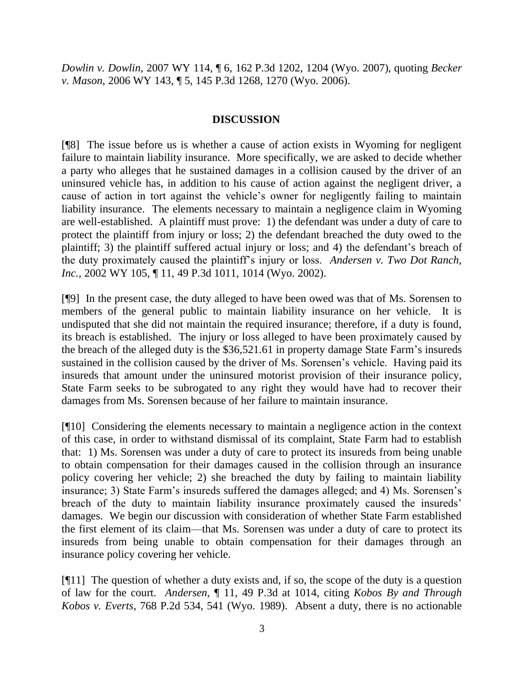*Dowlin v. Dowlin*, 2007 WY 114, ¶ 6, 162 P.3d 1202, 1204 (Wyo. 2007), quoting *Becker v. Mason*, 2006 WY 143, ¶ 5, 145 P.3d 1268, 1270 (Wyo. 2006).

### **DISCUSSION**

[¶8] The issue before us is whether a cause of action exists in Wyoming for negligent failure to maintain liability insurance. More specifically, we are asked to decide whether a party who alleges that he sustained damages in a collision caused by the driver of an uninsured vehicle has, in addition to his cause of action against the negligent driver, a cause of action in tort against the vehicle's owner for negligently failing to maintain liability insurance. The elements necessary to maintain a negligence claim in Wyoming are well-established. A plaintiff must prove: 1) the defendant was under a duty of care to protect the plaintiff from injury or loss; 2) the defendant breached the duty owed to the plaintiff; 3) the plaintiff suffered actual injury or loss; and 4) the defendant's breach of the duty proximately caused the plaintiff's injury or loss. *Andersen v. Two Dot Ranch, Inc.,* 2002 WY 105, ¶ 11, 49 P.3d 1011, 1014 (Wyo. 2002).

[¶9] In the present case, the duty alleged to have been owed was that of Ms. Sorensen to members of the general public to maintain liability insurance on her vehicle. It is undisputed that she did not maintain the required insurance; therefore, if a duty is found, its breach is established. The injury or loss alleged to have been proximately caused by the breach of the alleged duty is the \$36,521.61 in property damage State Farm's insureds sustained in the collision caused by the driver of Ms. Sorensen's vehicle. Having paid its insureds that amount under the uninsured motorist provision of their insurance policy, State Farm seeks to be subrogated to any right they would have had to recover their damages from Ms. Sorensen because of her failure to maintain insurance.

[¶10] Considering the elements necessary to maintain a negligence action in the context of this case, in order to withstand dismissal of its complaint, State Farm had to establish that: 1) Ms. Sorensen was under a duty of care to protect its insureds from being unable to obtain compensation for their damages caused in the collision through an insurance policy covering her vehicle; 2) she breached the duty by failing to maintain liability insurance; 3) State Farm's insureds suffered the damages alleged; and 4) Ms. Sorensen's breach of the duty to maintain liability insurance proximately caused the insureds' damages. We begin our discussion with consideration of whether State Farm established the first element of its claim—that Ms. Sorensen was under a duty of care to protect its insureds from being unable to obtain compensation for their damages through an insurance policy covering her vehicle.

 $[911]$  The question of whether a duty exists and, if so, the scope of the duty is a question of law for the court. *Andersen,* ¶ 11, 49 P.3d at 1014, citing *Kobos By and Through Kobos v. Everts*, 768 P.2d 534, 541 (Wyo. 1989). Absent a duty, there is no actionable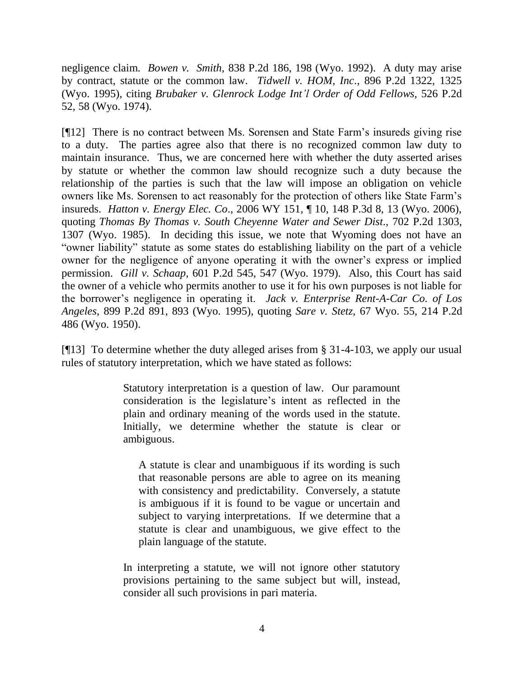negligence claim. *Bowen v. Smith,* 838 P.2d 186, 198 (Wyo. 1992). A duty may arise by contract, statute or the common law. *Tidwell v. HOM, Inc*., 896 P.2d 1322, 1325 (Wyo. 1995), citing *Brubaker v. Glenrock Lodge Int'l Order of Odd Fellows,* 526 P.2d 52, 58 (Wyo. 1974).

[¶12] There is no contract between Ms. Sorensen and State Farm's insureds giving rise to a duty. The parties agree also that there is no recognized common law duty to maintain insurance. Thus, we are concerned here with whether the duty asserted arises by statute or whether the common law should recognize such a duty because the relationship of the parties is such that the law will impose an obligation on vehicle owners like Ms. Sorensen to act reasonably for the protection of others like State Farm's insureds. *Hatton v. Energy Elec. Co*., 2006 WY 151, ¶ 10, 148 P.3d 8, 13 (Wyo. 2006), quoting *Thomas By Thomas v. South Cheyenne Water and Sewer Dist*., 702 P.2d 1303, 1307 (Wyo. 1985). In deciding this issue, we note that Wyoming does not have an "owner liability" statute as some states do establishing liability on the part of a vehicle owner for the negligence of anyone operating it with the owner's express or implied permission. *Gill v. Schaap*, 601 P.2d 545, 547 (Wyo. 1979). Also, this Court has said the owner of a vehicle who permits another to use it for his own purposes is not liable for the borrower's negligence in operating it. *Jack v. Enterprise Rent-A-Car Co. of Los Angeles*, 899 P.2d 891, 893 (Wyo. 1995), quoting *Sare v. Stetz*, 67 Wyo. 55, 214 P.2d 486 (Wyo. 1950).

[¶13] To determine whether the duty alleged arises from § 31-4-103, we apply our usual rules of statutory interpretation, which we have stated as follows:

> Statutory interpretation is a question of law. Our paramount consideration is the legislature's intent as reflected in the plain and ordinary meaning of the words used in the statute. Initially, we determine whether the statute is clear or ambiguous.

A statute is clear and unambiguous if its wording is such that reasonable persons are able to agree on its meaning with consistency and predictability. Conversely, a statute is ambiguous if it is found to be vague or uncertain and subject to varying interpretations. If we determine that a statute is clear and unambiguous, we give effect to the plain language of the statute.

In interpreting a statute, we will not ignore other statutory provisions pertaining to the same subject but will, instead, consider all such provisions in pari materia.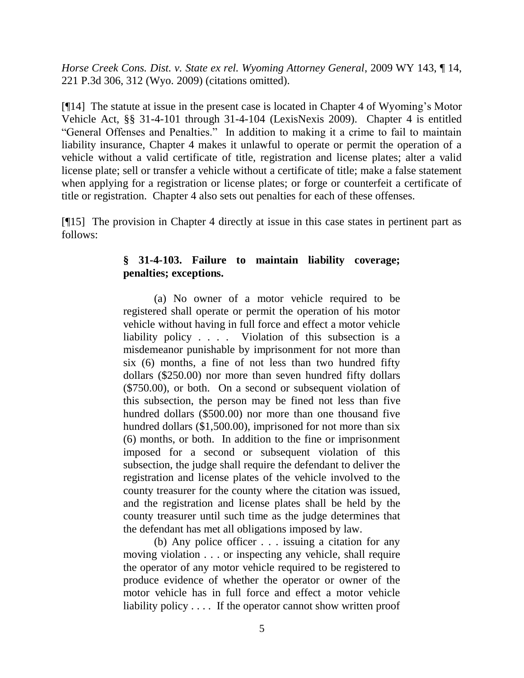*Horse Creek Cons. Dist. v. State ex rel. Wyoming Attorney General*, 2009 WY 143, ¶ 14, 221 P.3d 306, 312 (Wyo. 2009) (citations omitted).

[¶14] The statute at issue in the present case is located in Chapter 4 of Wyoming's Motor Vehicle Act, §§ 31-4-101 through 31-4-104 (LexisNexis 2009). Chapter 4 is entitled "General Offenses and Penalties." In addition to making it a crime to fail to maintain liability insurance, Chapter 4 makes it unlawful to operate or permit the operation of a vehicle without a valid certificate of title, registration and license plates; alter a valid license plate; sell or transfer a vehicle without a certificate of title; make a false statement when applying for a registration or license plates; or forge or counterfeit a certificate of title or registration. Chapter 4 also sets out penalties for each of these offenses.

[¶15] The provision in Chapter 4 directly at issue in this case states in pertinent part as follows:

## **§ 31-4-103. Failure to maintain liability coverage; penalties; exceptions.**

(a) No owner of a motor vehicle required to be registered shall operate or permit the operation of his motor vehicle without having in full force and effect a motor vehicle liability policy . . . . Violation of this subsection is a misdemeanor punishable by imprisonment for not more than six (6) months, a fine of not less than two hundred fifty dollars (\$250.00) nor more than seven hundred fifty dollars (\$750.00), or both. On a second or subsequent violation of this subsection, the person may be fined not less than five hundred dollars (\$500.00) nor more than one thousand five hundred dollars (\$1,500.00), imprisoned for not more than six (6) months, or both. In addition to the fine or imprisonment imposed for a second or subsequent violation of this subsection, the judge shall require the defendant to deliver the registration and license plates of the vehicle involved to the county treasurer for the county where the citation was issued, and the registration and license plates shall be held by the county treasurer until such time as the judge determines that the defendant has met all obligations imposed by law.

(b) Any police officer . . . issuing a citation for any moving violation . . . or inspecting any vehicle, shall require the operator of any motor vehicle required to be registered to produce evidence of whether the operator or owner of the motor vehicle has in full force and effect a motor vehicle liability policy . . . . If the operator cannot show written proof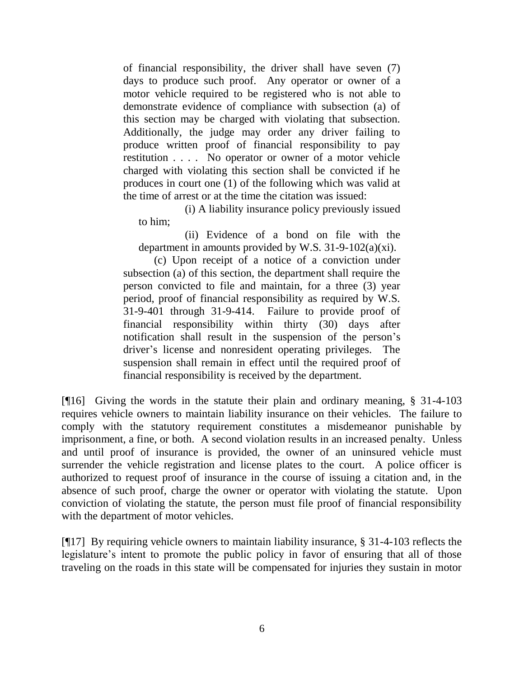of financial responsibility, the driver shall have seven (7) days to produce such proof. Any operator or owner of a motor vehicle required to be registered who is not able to demonstrate evidence of compliance with subsection (a) of this section may be charged with violating that subsection. Additionally, the judge may order any driver failing to produce written proof of financial responsibility to pay restitution . . . . No operator or owner of a motor vehicle charged with violating this section shall be convicted if he produces in court one (1) of the following which was valid at the time of arrest or at the time the citation was issued:

(i) A liability insurance policy previously issued to him;

(ii) Evidence of a bond on file with the department in amounts provided by W.S. 31-9-102(a)(xi).

(c) Upon receipt of a notice of a conviction under subsection (a) of this section, the department shall require the person convicted to file and maintain, for a three (3) year period, proof of financial responsibility as required by W.S. 31-9-401 through 31-9-414. Failure to provide proof of financial responsibility within thirty (30) days after notification shall result in the suspension of the person's driver's license and nonresident operating privileges. The suspension shall remain in effect until the required proof of financial responsibility is received by the department.

[¶16] Giving the words in the statute their plain and ordinary meaning, § 31-4-103 requires vehicle owners to maintain liability insurance on their vehicles. The failure to comply with the statutory requirement constitutes a misdemeanor punishable by imprisonment, a fine, or both. A second violation results in an increased penalty. Unless and until proof of insurance is provided, the owner of an uninsured vehicle must surrender the vehicle registration and license plates to the court. A police officer is authorized to request proof of insurance in the course of issuing a citation and, in the absence of such proof, charge the owner or operator with violating the statute. Upon conviction of violating the statute, the person must file proof of financial responsibility with the department of motor vehicles.

[¶17] By requiring vehicle owners to maintain liability insurance, § 31-4-103 reflects the legislature's intent to promote the public policy in favor of ensuring that all of those traveling on the roads in this state will be compensated for injuries they sustain in motor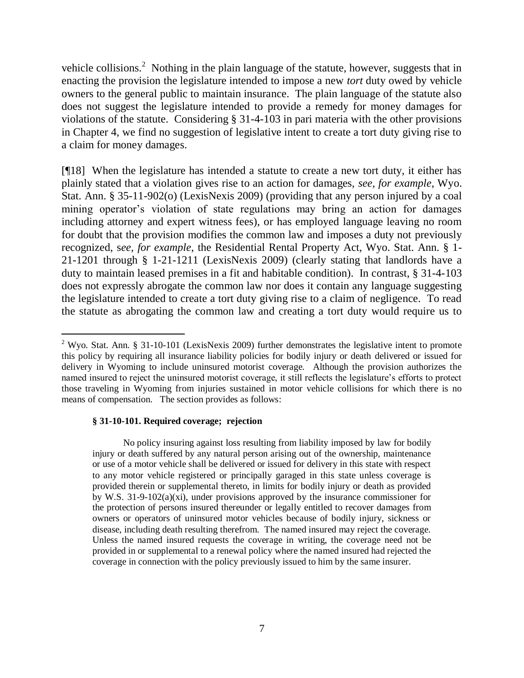vehicle collisions.<sup>2</sup> Nothing in the plain language of the statute, however, suggests that in enacting the provision the legislature intended to impose a new *tort* duty owed by vehicle owners to the general public to maintain insurance. The plain language of the statute also does not suggest the legislature intended to provide a remedy for money damages for violations of the statute. Considering § 31-4-103 in pari materia with the other provisions in Chapter 4, we find no suggestion of legislative intent to create a tort duty giving rise to a claim for money damages.

[¶18] When the legislature has intended a statute to create a new tort duty, it either has plainly stated that a violation gives rise to an action for damages, *see, for example*, Wyo. Stat. Ann. § 35-11-902(o) (LexisNexis 2009) (providing that any person injured by a coal mining operator's violation of state regulations may bring an action for damages including attorney and expert witness fees), or has employed language leaving no room for doubt that the provision modifies the common law and imposes a duty not previously recognized, s*ee, for example*, the Residential Rental Property Act, Wyo. Stat. Ann. § 1- 21-1201 through § 1-21-1211 (LexisNexis 2009) (clearly stating that landlords have a duty to maintain leased premises in a fit and habitable condition). In contrast, § 31-4-103 does not expressly abrogate the common law nor does it contain any language suggesting the legislature intended to create a tort duty giving rise to a claim of negligence. To read the statute as abrogating the common law and creating a tort duty would require us to

#### **§ 31-10-101. Required coverage; rejection**

 $\overline{a}$ 

No policy insuring against loss resulting from liability imposed by law for bodily injury or death suffered by any natural person arising out of the ownership, maintenance or use of a motor vehicle shall be delivered or issued for delivery in this state with respect to any motor vehicle registered or principally garaged in this state unless coverage is provided therein or supplemental thereto, in limits for bodily injury or death as provided by W.S. 31-9-102(a)(xi), under provisions approved by the insurance commissioner for the protection of persons insured thereunder or legally entitled to recover damages from owners or operators of uninsured motor vehicles because of bodily injury, sickness or disease, including death resulting therefrom. The named insured may reject the coverage. Unless the named insured requests the coverage in writing, the coverage need not be provided in or supplemental to a renewal policy where the named insured had rejected the coverage in connection with the policy previously issued to him by the same insurer.

<sup>&</sup>lt;sup>2</sup> Wyo. Stat. Ann. § 31-10-101 (LexisNexis 2009) further demonstrates the legislative intent to promote this policy by requiring all insurance liability policies for bodily injury or death delivered or issued for delivery in Wyoming to include uninsured motorist coverage. Although the provision authorizes the named insured to reject the uninsured motorist coverage, it still reflects the legislature's efforts to protect those traveling in Wyoming from injuries sustained in motor vehicle collisions for which there is no means of compensation. The section provides as follows: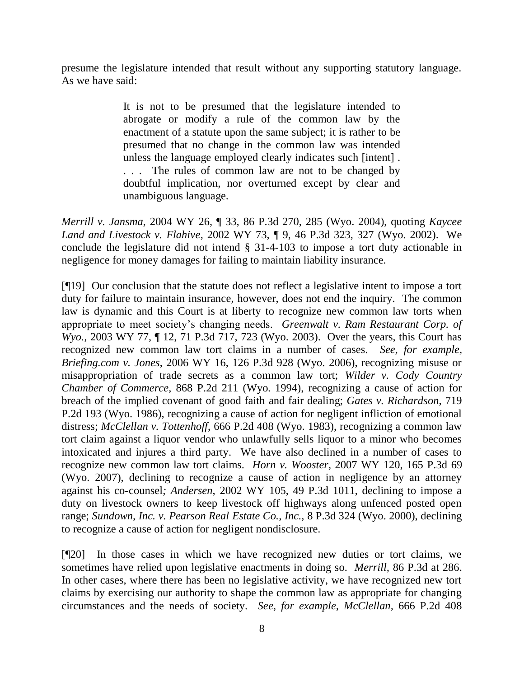presume the legislature intended that result without any supporting statutory language. As we have said:

> It is not to be presumed that the legislature intended to abrogate or modify a rule of the common law by the enactment of a statute upon the same subject; it is rather to be presumed that no change in the common law was intended unless the language employed clearly indicates such [intent] . . . . The rules of common law are not to be changed by doubtful implication, nor overturned except by clear and unambiguous language.

*Merrill v. Jansma*, 2004 WY 26, ¶ 33, 86 P.3d 270, 285 (Wyo. 2004), quoting *Kaycee Land and Livestock v. Flahive*, 2002 WY 73, ¶ 9, 46 P.3d 323, 327 (Wyo. 2002). We conclude the legislature did not intend § 31-4-103 to impose a tort duty actionable in negligence for money damages for failing to maintain liability insurance.

[¶19] Our conclusion that the statute does not reflect a legislative intent to impose a tort duty for failure to maintain insurance, however, does not end the inquiry. The common law is dynamic and this Court is at liberty to recognize new common law torts when appropriate to meet society's changing needs. *Greenwalt v. Ram Restaurant Corp. of Wyo.*, 2003 WY 77, ¶ 12, 71 P.3d 717, 723 (Wyo. 2003). Over the years, this Court has recognized new common law tort claims in a number of cases. *See, for example, Briefing.com v. Jones*, 2006 WY 16, 126 P.3d 928 (Wyo. 2006), recognizing misuse or misappropriation of trade secrets as a common law tort; *Wilder v. Cody Country Chamber of Commerce*, 868 P.2d 211 (Wyo. 1994), recognizing a cause of action for breach of the implied covenant of good faith and fair dealing; *Gates v. Richardson*, 719 P.2d 193 (Wyo. 1986), recognizing a cause of action for negligent infliction of emotional distress; *McClellan v. Tottenhoff*, 666 P.2d 408 (Wyo. 1983), recognizing a common law tort claim against a liquor vendor who unlawfully sells liquor to a minor who becomes intoxicated and injures a third party. We have also declined in a number of cases to recognize new common law tort claims. *Horn v. Wooster*, 2007 WY 120, 165 P.3d 69 (Wyo. 2007), declining to recognize a cause of action in negligence by an attorney against his co-counsel*; Andersen*, 2002 WY 105, 49 P.3d 1011, declining to impose a duty on livestock owners to keep livestock off highways along unfenced posted open range; *Sundown, Inc. v. Pearson Real Estate Co., Inc.,* 8 P.3d 324 (Wyo. 2000), declining to recognize a cause of action for negligent nondisclosure.

[¶20] In those cases in which we have recognized new duties or tort claims, we sometimes have relied upon legislative enactments in doing so. *Merrill,* 86 P.3d at 286. In other cases, where there has been no legislative activity, we have recognized new tort claims by exercising our authority to shape the common law as appropriate for changing circumstances and the needs of society. *See, for example, McClellan,* 666 P.2d 408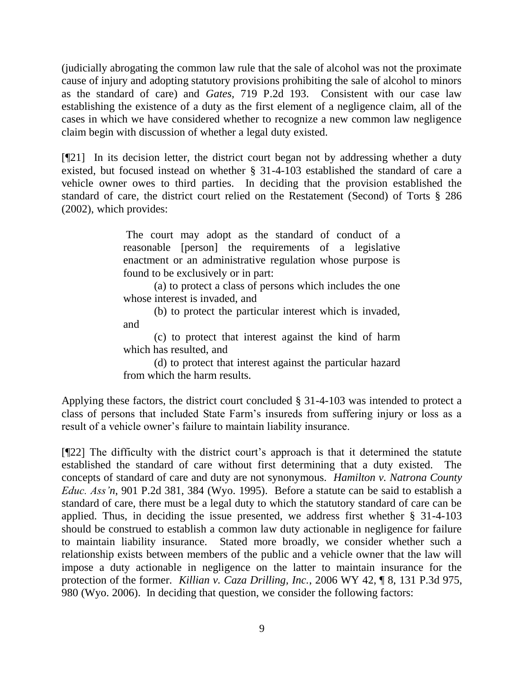(judicially abrogating the common law rule that the sale of alcohol was not the proximate cause of injury and adopting statutory provisions prohibiting the sale of alcohol to minors as the standard of care) and *Gates,* 719 P.2d 193. Consistent with our case law establishing the existence of a duty as the first element of a negligence claim, all of the cases in which we have considered whether to recognize a new common law negligence claim begin with discussion of whether a legal duty existed.

[¶21] In its decision letter, the district court began not by addressing whether a duty existed, but focused instead on whether § 31-4-103 established the standard of care a vehicle owner owes to third parties. In deciding that the provision established the standard of care, the district court relied on the Restatement (Second) of Torts § 286 (2002), which provides:

> The court may adopt as the standard of conduct of a reasonable [person] the requirements of a legislative enactment or an administrative regulation whose purpose is found to be exclusively or in part:

> (a) to protect a class of persons which includes the one whose interest is invaded, and

> (b) to protect the particular interest which is invaded, and

> (c) to protect that interest against the kind of harm which has resulted, and

> (d) to protect that interest against the particular hazard from which the harm results.

Applying these factors, the district court concluded § 31-4-103 was intended to protect a class of persons that included State Farm's insureds from suffering injury or loss as a result of a vehicle owner's failure to maintain liability insurance.

[¶22] The difficulty with the district court's approach is that it determined the statute established the standard of care without first determining that a duty existed. The concepts of standard of care and duty are not synonymous. *Hamilton v. Natrona County Educ. Ass'n*, 901 P.2d 381, 384 (Wyo. 1995). Before a statute can be said to establish a standard of care, there must be a legal duty to which the statutory standard of care can be applied. Thus, in deciding the issue presented, we address first whether § 31-4-103 should be construed to establish a common law duty actionable in negligence for failure to maintain liability insurance. Stated more broadly, we consider whether such a relationship exists between members of the public and a vehicle owner that the law will impose a duty actionable in negligence on the latter to maintain insurance for the protection of the former. *Killian v. Caza Drilling, Inc.*, 2006 WY 42, ¶ 8, 131 P.3d 975, 980 (Wyo. 2006). In deciding that question, we consider the following factors: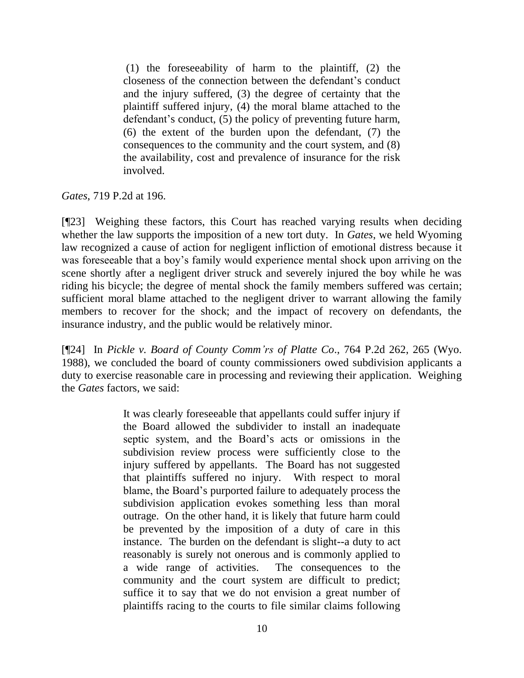(1) the foreseeability of harm to the plaintiff, (2) the closeness of the connection between the defendant's conduct and the injury suffered, (3) the degree of certainty that the plaintiff suffered injury, (4) the moral blame attached to the defendant's conduct, (5) the policy of preventing future harm, (6) the extent of the burden upon the defendant, (7) the consequences to the community and the court system, and (8) the availability, cost and prevalence of insurance for the risk involved.

*Gates*, 719 P.2d at 196.

[¶23] Weighing these factors, this Court has reached varying results when deciding whether the law supports the imposition of a new tort duty. In *Gates*, we held Wyoming law recognized a cause of action for negligent infliction of emotional distress because it was foreseeable that a boy's family would experience mental shock upon arriving on the scene shortly after a negligent driver struck and severely injured the boy while he was riding his bicycle; the degree of mental shock the family members suffered was certain; sufficient moral blame attached to the negligent driver to warrant allowing the family members to recover for the shock; and the impact of recovery on defendants, the insurance industry, and the public would be relatively minor.

[¶24] In *Pickle v. Board of County Comm'rs of Platte Co*., 764 P.2d 262, 265 (Wyo. 1988), we concluded the board of county commissioners owed subdivision applicants a duty to exercise reasonable care in processing and reviewing their application. Weighing the *Gates* factors, we said:

> It was clearly foreseeable that appellants could suffer injury if the Board allowed the subdivider to install an inadequate septic system, and the Board's acts or omissions in the subdivision review process were sufficiently close to the injury suffered by appellants. The Board has not suggested that plaintiffs suffered no injury. With respect to moral blame, the Board's purported failure to adequately process the subdivision application evokes something less than moral outrage. On the other hand, it is likely that future harm could be prevented by the imposition of a duty of care in this instance. The burden on the defendant is slight--a duty to act reasonably is surely not onerous and is commonly applied to a wide range of activities. The consequences to the community and the court system are difficult to predict; suffice it to say that we do not envision a great number of plaintiffs racing to the courts to file similar claims following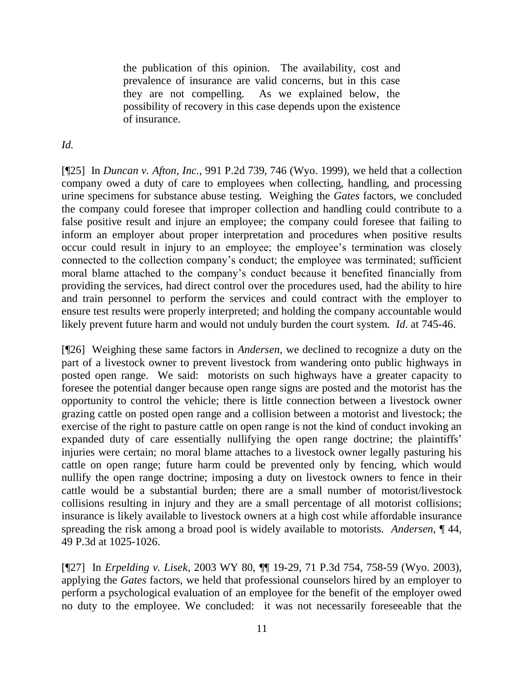the publication of this opinion. The availability, cost and prevalence of insurance are valid concerns, but in this case they are not compelling. As we explained below, the possibility of recovery in this case depends upon the existence of insurance.

*Id.*

[¶25] In *Duncan v. Afton, Inc.*, 991 P.2d 739, 746 (Wyo. 1999), we held that a collection company owed a duty of care to employees when collecting, handling, and processing urine specimens for substance abuse testing. Weighing the *Gates* factors, we concluded the company could foresee that improper collection and handling could contribute to a false positive result and injure an employee; the company could foresee that failing to inform an employer about proper interpretation and procedures when positive results occur could result in injury to an employee; the employee's termination was closely connected to the collection company's conduct; the employee was terminated; sufficient moral blame attached to the company's conduct because it benefited financially from providing the services, had direct control over the procedures used, had the ability to hire and train personnel to perform the services and could contract with the employer to ensure test results were properly interpreted; and holding the company accountable would likely prevent future harm and would not unduly burden the court system. *Id*. at 745-46.

[¶26] Weighing these same factors in *Andersen*, we declined to recognize a duty on the part of a livestock owner to prevent livestock from wandering onto public highways in posted open range. We said: motorists on such highways have a greater capacity to foresee the potential danger because open range signs are posted and the motorist has the opportunity to control the vehicle; there is little connection between a livestock owner grazing cattle on posted open range and a collision between a motorist and livestock; the exercise of the right to pasture cattle on open range is not the kind of conduct invoking an expanded duty of care essentially nullifying the open range doctrine; the plaintiffs' injuries were certain; no moral blame attaches to a livestock owner legally pasturing his cattle on open range; future harm could be prevented only by fencing, which would nullify the open range doctrine; imposing a duty on livestock owners to fence in their cattle would be a substantial burden; there are a small number of motorist/livestock collisions resulting in injury and they are a small percentage of all motorist collisions; insurance is likely available to livestock owners at a high cost while affordable insurance spreading the risk among a broad pool is widely available to motorists. *Andersen*, ¶ 44, 49 P.3d at 1025-1026.

[¶27] In *Erpelding v. Lisek*, 2003 WY 80, ¶¶ 19-29, 71 P.3d 754, 758-59 (Wyo. 2003), applying the *Gates* factors, we held that professional counselors hired by an employer to perform a psychological evaluation of an employee for the benefit of the employer owed no duty to the employee. We concluded: it was not necessarily foreseeable that the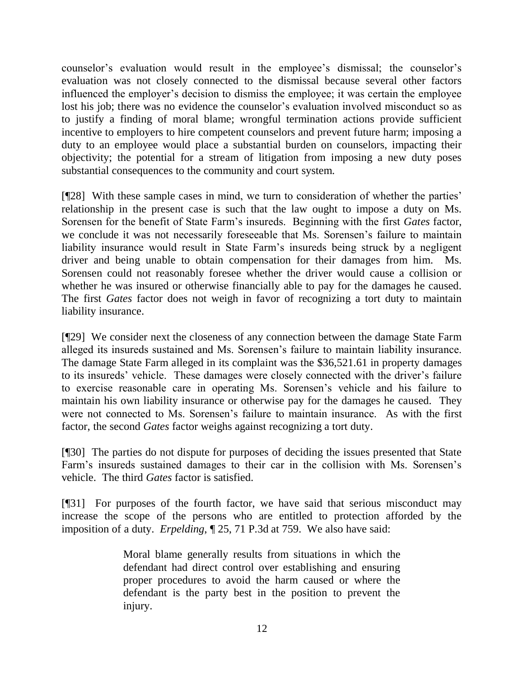counselor's evaluation would result in the employee's dismissal; the counselor's evaluation was not closely connected to the dismissal because several other factors influenced the employer's decision to dismiss the employee; it was certain the employee lost his job; there was no evidence the counselor's evaluation involved misconduct so as to justify a finding of moral blame; wrongful termination actions provide sufficient incentive to employers to hire competent counselors and prevent future harm; imposing a duty to an employee would place a substantial burden on counselors, impacting their objectivity; the potential for a stream of litigation from imposing a new duty poses substantial consequences to the community and court system.

[¶28] With these sample cases in mind, we turn to consideration of whether the parties' relationship in the present case is such that the law ought to impose a duty on Ms. Sorensen for the benefit of State Farm's insureds. Beginning with the first *Gates* factor, we conclude it was not necessarily foreseeable that Ms. Sorensen's failure to maintain liability insurance would result in State Farm's insureds being struck by a negligent driver and being unable to obtain compensation for their damages from him. Ms. Sorensen could not reasonably foresee whether the driver would cause a collision or whether he was insured or otherwise financially able to pay for the damages he caused. The first *Gates* factor does not weigh in favor of recognizing a tort duty to maintain liability insurance.

[¶29] We consider next the closeness of any connection between the damage State Farm alleged its insureds sustained and Ms. Sorensen's failure to maintain liability insurance. The damage State Farm alleged in its complaint was the \$36,521.61 in property damages to its insureds' vehicle. These damages were closely connected with the driver's failure to exercise reasonable care in operating Ms. Sorensen's vehicle and his failure to maintain his own liability insurance or otherwise pay for the damages he caused. They were not connected to Ms. Sorensen's failure to maintain insurance. As with the first factor, the second *Gates* factor weighs against recognizing a tort duty.

[¶30] The parties do not dispute for purposes of deciding the issues presented that State Farm's insureds sustained damages to their car in the collision with Ms. Sorensen's vehicle. The third *Gates* factor is satisfied.

[¶31] For purposes of the fourth factor, we have said that serious misconduct may increase the scope of the persons who are entitled to protection afforded by the imposition of a duty. *Erpelding*, ¶ 25, 71 P.3d at 759. We also have said:

> Moral blame generally results from situations in which the defendant had direct control over establishing and ensuring proper procedures to avoid the harm caused or where the defendant is the party best in the position to prevent the injury.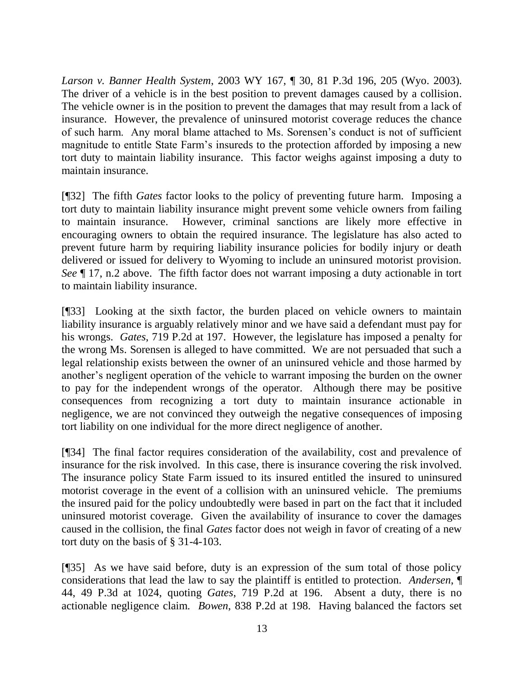*Larson v. Banner Health System*, 2003 WY 167, ¶ 30, 81 P.3d 196, 205 (Wyo. 2003). The driver of a vehicle is in the best position to prevent damages caused by a collision. The vehicle owner is in the position to prevent the damages that may result from a lack of insurance. However, the prevalence of uninsured motorist coverage reduces the chance of such harm. Any moral blame attached to Ms. Sorensen's conduct is not of sufficient magnitude to entitle State Farm's insureds to the protection afforded by imposing a new tort duty to maintain liability insurance. This factor weighs against imposing a duty to maintain insurance.

[¶32] The fifth *Gates* factor looks to the policy of preventing future harm. Imposing a tort duty to maintain liability insurance might prevent some vehicle owners from failing to maintain insurance. However, criminal sanctions are likely more effective in encouraging owners to obtain the required insurance. The legislature has also acted to prevent future harm by requiring liability insurance policies for bodily injury or death delivered or issued for delivery to Wyoming to include an uninsured motorist provision. *See* ¶ 17, n.2 above. The fifth factor does not warrant imposing a duty actionable in tort to maintain liability insurance.

[¶33] Looking at the sixth factor, the burden placed on vehicle owners to maintain liability insurance is arguably relatively minor and we have said a defendant must pay for his wrongs. *Gates*, 719 P.2d at 197. However, the legislature has imposed a penalty for the wrong Ms. Sorensen is alleged to have committed. We are not persuaded that such a legal relationship exists between the owner of an uninsured vehicle and those harmed by another's negligent operation of the vehicle to warrant imposing the burden on the owner to pay for the independent wrongs of the operator. Although there may be positive consequences from recognizing a tort duty to maintain insurance actionable in negligence, we are not convinced they outweigh the negative consequences of imposing tort liability on one individual for the more direct negligence of another.

[¶34] The final factor requires consideration of the availability, cost and prevalence of insurance for the risk involved. In this case, there is insurance covering the risk involved. The insurance policy State Farm issued to its insured entitled the insured to uninsured motorist coverage in the event of a collision with an uninsured vehicle. The premiums the insured paid for the policy undoubtedly were based in part on the fact that it included uninsured motorist coverage. Given the availability of insurance to cover the damages caused in the collision, the final *Gates* factor does not weigh in favor of creating of a new tort duty on the basis of § 31-4-103.

[¶35] As we have said before, duty is an expression of the sum total of those policy considerations that lead the law to say the plaintiff is entitled to protection. *Andersen*, ¶ 44, 49 P.3d at 1024, quoting *Gates*, 719 P.2d at 196. Absent a duty, there is no actionable negligence claim. *Bowen*, 838 P.2d at 198. Having balanced the factors set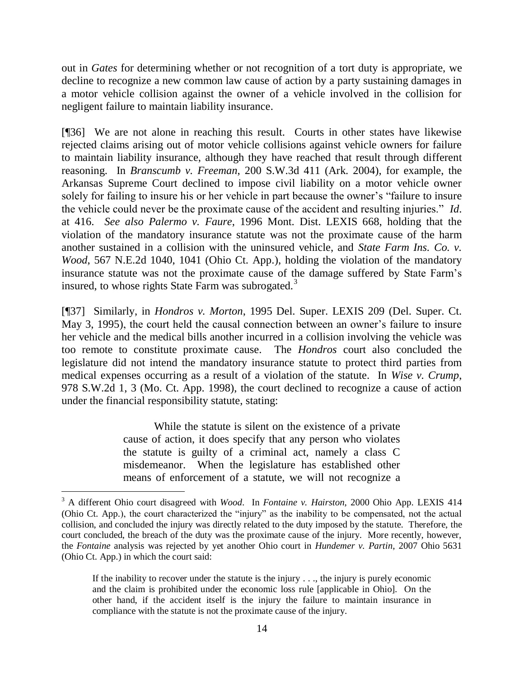out in *Gates* for determining whether or not recognition of a tort duty is appropriate, we decline to recognize a new common law cause of action by a party sustaining damages in a motor vehicle collision against the owner of a vehicle involved in the collision for negligent failure to maintain liability insurance.

[¶36] We are not alone in reaching this result. Courts in other states have likewise rejected claims arising out of motor vehicle collisions against vehicle owners for failure to maintain liability insurance, although they have reached that result through different reasoning. In *Branscumb v. Freeman*, 200 S.W.3d 411 (Ark. 2004), for example, the Arkansas Supreme Court declined to impose civil liability on a motor vehicle owner solely for failing to insure his or her vehicle in part because the owner's "failure to insure the vehicle could never be the proximate cause of the accident and resulting injuries." *Id*. at 416. *See also Palermo v. Faure*, 1996 Mont. Dist. LEXIS 668, holding that the violation of the mandatory insurance statute was not the proximate cause of the harm another sustained in a collision with the uninsured vehicle, and *State Farm Ins. Co. v. Wood*, 567 N.E.2d 1040, 1041 (Ohio Ct. App.), holding the violation of the mandatory insurance statute was not the proximate cause of the damage suffered by State Farm's insured, to whose rights State Farm was subrogated.<sup>3</sup>

[¶37] Similarly, in *Hondros v. Morton*, 1995 Del. Super. LEXIS 209 (Del. Super. Ct. May 3, 1995), the court held the causal connection between an owner's failure to insure her vehicle and the medical bills another incurred in a collision involving the vehicle was too remote to constitute proximate cause. The *Hondros* court also concluded the legislature did not intend the mandatory insurance statute to protect third parties from medical expenses occurring as a result of a violation of the statute. In *Wise v. Crump*, 978 S.W.2d 1, 3 (Mo. Ct. App. 1998), the court declined to recognize a cause of action under the financial responsibility statute, stating:

> While the statute is silent on the existence of a private cause of action, it does specify that any person who violates the statute is guilty of a criminal act, namely a class C misdemeanor. When the legislature has established other means of enforcement of a statute, we will not recognize a

 $\overline{a}$ 

<sup>3</sup> A different Ohio court disagreed with *Wood*. In *Fontaine v. Hairston*, 2000 Ohio App. LEXIS 414 (Ohio Ct. App.), the court characterized the "injury" as the inability to be compensated, not the actual collision, and concluded the injury was directly related to the duty imposed by the statute. Therefore, the court concluded, the breach of the duty was the proximate cause of the injury. More recently, however, the *Fontaine* analysis was rejected by yet another Ohio court in *Hundemer v. Partin*, 2007 Ohio 5631 (Ohio Ct. App.) in which the court said:

If the inability to recover under the statute is the injury . . ., the injury is purely economic and the claim is prohibited under the economic loss rule [applicable in Ohio]. On the other hand, if the accident itself is the injury the failure to maintain insurance in compliance with the statute is not the proximate cause of the injury.